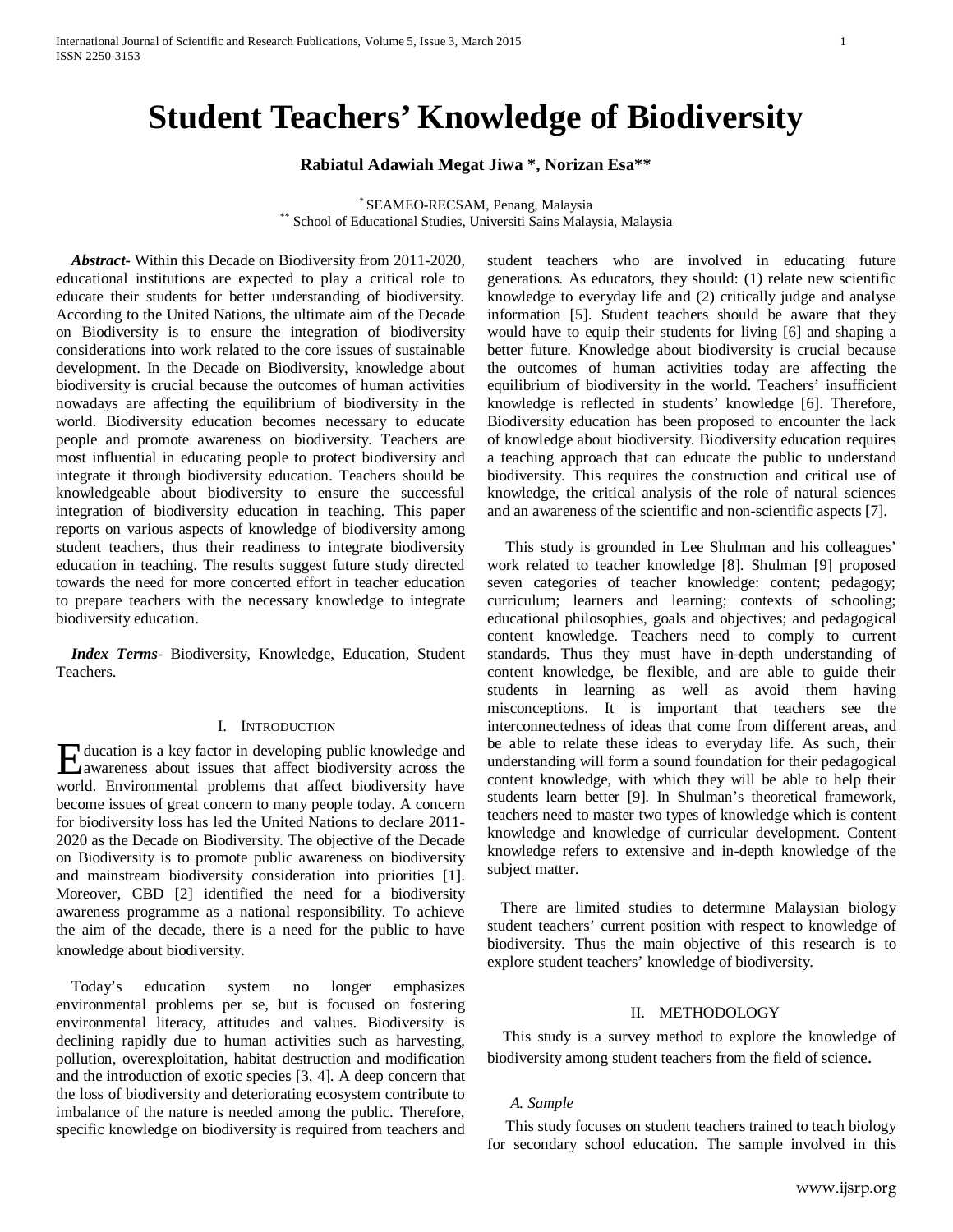# **Student Teachers' Knowledge of Biodiversity**

# **Rabiatul Adawiah Megat Jiwa \*, Norizan Esa\*\***

\* SEAMEO-RECSAM, Penang, Malaysia \*\* School of Educational Studies, Universiti Sains Malaysia, Malaysia

 *Abstract***-** Within this Decade on Biodiversity from 2011-2020, educational institutions are expected to play a critical role to educate their students for better understanding of biodiversity. According to the United Nations, the ultimate aim of the Decade on Biodiversity is to ensure the integration of biodiversity considerations into work related to the core issues of sustainable development. In the Decade on Biodiversity, knowledge about biodiversity is crucial because the outcomes of human activities nowadays are affecting the equilibrium of biodiversity in the world. Biodiversity education becomes necessary to educate people and promote awareness on biodiversity. Teachers are most influential in educating people to protect biodiversity and integrate it through biodiversity education. Teachers should be knowledgeable about biodiversity to ensure the successful integration of biodiversity education in teaching. This paper reports on various aspects of knowledge of biodiversity among student teachers, thus their readiness to integrate biodiversity education in teaching. The results suggest future study directed towards the need for more concerted effort in teacher education to prepare teachers with the necessary knowledge to integrate biodiversity education.

 *Index Terms*- Biodiversity, Knowledge, Education, Student Teachers.

#### I. INTRODUCTION

ducation is a key factor in developing public knowledge and Hucation is a key factor in developing public knowledge and awareness about issues that affect biodiversity across the world. Environmental problems that affect biodiversity have become issues of great concern to many people today. A concern for biodiversity loss has led the United Nations to declare 2011- 2020 as the Decade on Biodiversity. The objective of the Decade on Biodiversity is to promote public awareness on biodiversity and mainstream biodiversity consideration into priorities [1]. Moreover, [CBD \[2\]](#page-2-0) identified the need for a biodiversity awareness programme as a national responsibility. To achieve the aim of the decade, there is a need for the public to have knowledge about biodiversity.

 Today's education system no longer emphasizes environmental problems per se, but is focused on fostering environmental literacy, attitudes and values. Biodiversity is declining rapidly due to human activities such as harvesting, pollution, overexploitation, habitat destruction and modification and the introduction of exotic species [3, 4]. A deep concern that the loss of biodiversity and deteriorating ecosystem contribute to imbalance of the nature is needed among the public. Therefore, specific knowledge on biodiversity is required from teachers and student teachers who are involved in educating future generations. As educators, they should: (1) relate new scientific knowledge to everyday life and (2) critically judge and analyse information [5]. Student teachers should be aware that they would have to equip their students for living [6] and shaping a better future. Knowledge about biodiversity is crucial because the outcomes of human activities today are affecting the equilibrium of biodiversity in the world. Teachers' insufficient knowledge is reflected in students' knowledge [6]. Therefore, Biodiversity education has been proposed to encounter the lack of knowledge about biodiversity. Biodiversity education requires a teaching approach that can educate the public to understand biodiversity. This requires the construction and critical use of knowledge, the critical analysis of the role of natural sciences and an awareness of the scientific and non-scientific aspects [7].

 This study is grounded in Lee Shulman and his colleagues' work related to teacher knowledge [8]. Shulman [9] proposed seven categories of teacher knowledge: content; pedagogy; curriculum; learners and learning; contexts of schooling; educational philosophies, goals and objectives; and pedagogical content knowledge. Teachers need to comply to current standards. Thus they must have in-depth understanding of content knowledge, be flexible, and are able to guide their students in learning as well as avoid them having misconceptions. It is important that teachers see the interconnectedness of ideas that come from different areas, and be able to relate these ideas to everyday life. As such, their understanding will form a sound foundation for their pedagogical content knowledge, with which they will be able to help their students learn better [9]. In Shulman's theoretical framework, teachers need to master two types of knowledge which is content knowledge and knowledge of curricular development. Content knowledge refers to extensive and in-depth knowledge of the subject matter.

 There are limited studies to determine Malaysian biology student teachers' current position with respect to knowledge of biodiversity. Thus the main objective of this research is to explore student teachers' knowledge of biodiversity.

#### II. METHODOLOGY

 This study is a survey method to explore the knowledge of biodiversity among student teachers from the field of science.

# *A. Sample*

 This study focuses on student teachers trained to teach biology for secondary school education. The sample involved in this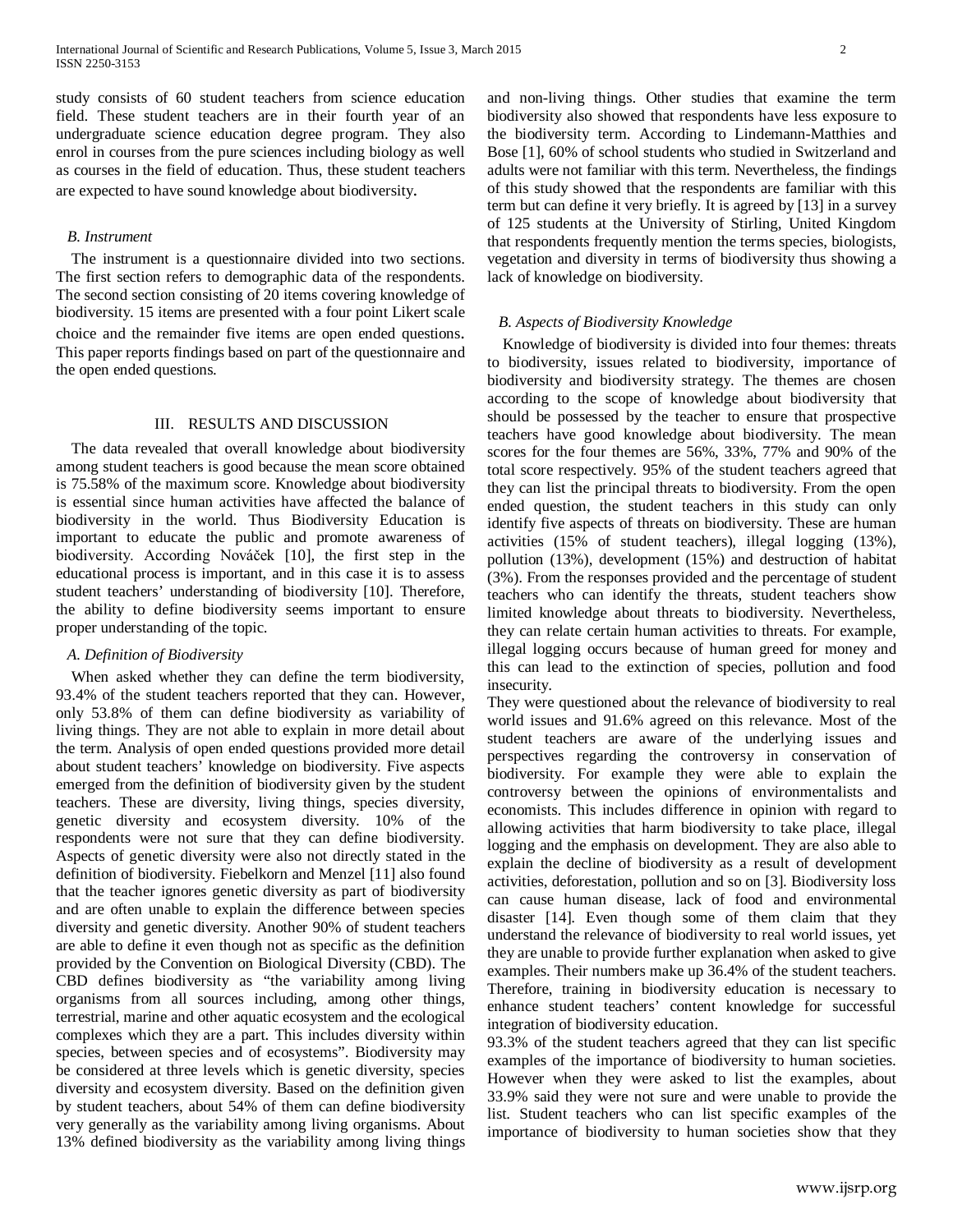study consists of 60 student teachers from science education field. These student teachers are in their fourth year of an undergraduate science education degree program. They also enrol in courses from the pure sciences including biology as well as courses in the field of education. Thus, these student teachers are expected to have sound knowledge about biodiversity.

# *B. Instrument*

 The instrument is a questionnaire divided into two sections. The first section refers to demographic data of the respondents. The second section consisting of 20 items covering knowledge of biodiversity. 15 items are presented with a four point Likert scale choice and the remainder five items are open ended questions. This paper reports findings based on part of the questionnaire and the open ended questions.

#### III. RESULTS AND DISCUSSION

 The data revealed that overall knowledge about biodiversity among student teachers is good because the mean score obtained is 75.58% of the maximum score. Knowledge about biodiversity is essential since human activities have affected the balance of biodiversity in the world. Thus Biodiversity Education is important to educate the public and promote awareness of biodiversity. According Nováček [10], the first step in the educational process is important, and in this case it is to assess student teachers' understanding of biodiversity [10]. Therefore, the ability to define biodiversity seems important to ensure proper understanding of the topic.

#### *A. Definition of Biodiversity*

 When asked whether they can define the term biodiversity, 93.4% of the student teachers reported that they can. However, only 53.8% of them can define biodiversity as variability of living things. They are not able to explain in more detail about the term. Analysis of open ended questions provided more detail about student teachers' knowledge on biodiversity. Five aspects emerged from the definition of biodiversity given by the student teachers. These are diversity, living things, species diversity, genetic diversity and ecosystem diversity. 10% of the respondents were not sure that they can define biodiversity. Aspects of genetic diversity were also not directly stated in the definition of biodiversity. [Fiebelkorn and Menzel](#page-2-1) [11] also found that the teacher ignores genetic diversity as part of biodiversity and are often unable to explain the difference between species diversity and genetic diversity. Another 90% of student teachers are able to define it even though not as specific as the definition provided by the Convention on Biological Diversity (CBD). The CBD defines biodiversity as "the variability among living organisms from all sources including, among other things, terrestrial, marine and other aquatic ecosystem and the ecological complexes which they are a part. This includes diversity within species, between species and of ecosystems". Biodiversity may be considered at three levels which is genetic diversity, species diversity and ecosystem diversity. Based on the definition given by student teachers, about 54% of them can define biodiversity very generally as the variability among living organisms. About 13% defined biodiversity as the variability among living things

and non-living things. Other studies that examine the term biodiversity also showed that respondents have less exposure to the biodiversity term. According to [Lindemann-Matthies and](#page-2-2)  [Bose \[1\],](#page-2-2) 60% of school students who studied in Switzerland and adults were not familiar with this term. Nevertheless, the findings of this study showed that the respondents are familiar with this term but can define it very briefly. It is agreed by [13] in a survey of 125 students at the University of Stirling, United Kingdom that respondents frequently mention the terms species, biologists, vegetation and diversity in terms of biodiversity thus showing a lack of knowledge on biodiversity.

# *B. Aspects of Biodiversity Knowledge*

 Knowledge of biodiversity is divided into four themes: threats to biodiversity, issues related to biodiversity, importance of biodiversity and biodiversity strategy. The themes are chosen according to the scope of knowledge about biodiversity that should be possessed by the teacher to ensure that prospective teachers have good knowledge about biodiversity. The mean scores for the four themes are 56%, 33%, 77% and 90% of the total score respectively. 95% of the student teachers agreed that they can list the principal threats to biodiversity. From the open ended question, the student teachers in this study can only identify five aspects of threats on biodiversity. These are human activities (15% of student teachers), illegal logging (13%), pollution (13%), development (15%) and destruction of habitat (3%). From the responses provided and the percentage of student teachers who can identify the threats, student teachers show limited knowledge about threats to biodiversity. Nevertheless, they can relate certain human activities to threats. For example, illegal logging occurs because of human greed for money and this can lead to the extinction of species, pollution and food insecurity.

They were questioned about the relevance of biodiversity to real world issues and 91.6% agreed on this relevance. Most of the student teachers are aware of the underlying issues and perspectives regarding the controversy in conservation of biodiversity. For example they were able to explain the controversy between the opinions of environmentalists and economists. This includes difference in opinion with regard to allowing activities that harm biodiversity to take place, illegal logging and the emphasis on development. They are also able to explain the decline of biodiversity as a result of development activities, deforestation, pollution and so on [3]. Biodiversity loss can cause human disease, lack of food and environmental disaster [14]. Even though some of them claim that they understand the relevance of biodiversity to real world issues, yet they are unable to provide further explanation when asked to give examples. Their numbers make up 36.4% of the student teachers. Therefore, training in biodiversity education is necessary to enhance student teachers' content knowledge for successful integration of biodiversity education.

93.3% of the student teachers agreed that they can list specific examples of the importance of biodiversity to human societies. However when they were asked to list the examples, about 33.9% said they were not sure and were unable to provide the list. Student teachers who can list specific examples of the importance of biodiversity to human societies show that they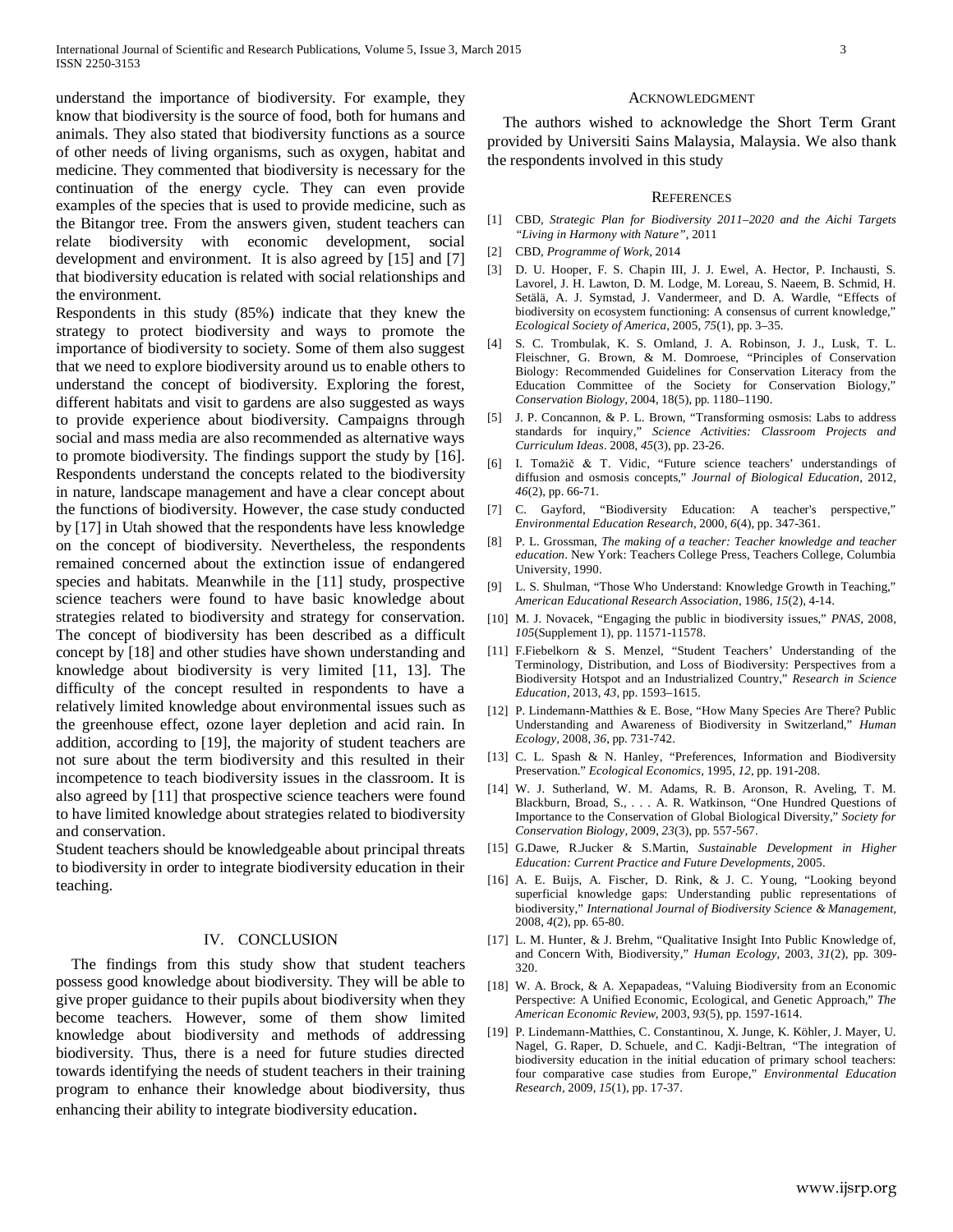understand the importance of biodiversity. For example, they know that biodiversity is the source of food, both for humans and animals. They also stated that biodiversity functions as a source of other needs of living organisms, such as oxygen, habitat and medicine. They commented that biodiversity is necessary for the continuation of the energy cycle. They can even provide examples of the species that is used to provide medicine, such as the Bitangor tree. From the answers given, student teachers can relate biodiversity with economic development, social development and environment. It is also agreed by [15] and [7] that biodiversity education is related with social relationships and the environment.

Respondents in this study (85%) indicate that they knew the strategy to protect biodiversity and ways to promote the importance of biodiversity to society. Some of them also suggest that we need to explore biodiversity around us to enable others to understand the concept of biodiversity. Exploring the forest, different habitats and visit to gardens are also suggested as ways to provide experience about biodiversity. Campaigns through social and mass media are also recommended as alternative ways to promote biodiversity. The findings support the study by [16]. Respondents understand the concepts related to the biodiversity in nature, landscape management and have a clear concept about the functions of biodiversity. However, the case study conducted by [17] in Utah showed that the respondents have less knowledge on the concept of biodiversity. Nevertheless, the respondents remained concerned about the extinction issue of endangered species and habitats. Meanwhile in the [11] study, prospective science teachers were found to have basic knowledge about strategies related to biodiversity and strategy for conservation. The concept of biodiversity has been described as a difficult concept by [18] and other studies have shown understanding and knowledge about biodiversity is very limited [11, 13]. The difficulty of the concept resulted in respondents to have a relatively limited knowledge about environmental issues such as the greenhouse effect, ozone layer depletion and acid rain. In addition, according to [19], the majority of student teachers are not sure about the term biodiversity and this resulted in their incompetence to teach biodiversity issues in the classroom. It is also agreed by [11] that prospective science teachers were found to have limited knowledge about strategies related to biodiversity and conservation.

Student teachers should be knowledgeable about principal threats to biodiversity in order to integrate biodiversity education in their teaching.

#### IV. CONCLUSION

 The findings from this study show that student teachers possess good knowledge about biodiversity. They will be able to give proper guidance to their pupils about biodiversity when they become teachers. However, some of them show limited knowledge about biodiversity and methods of addressing biodiversity. Thus, there is a need for future studies directed towards identifying the needs of student teachers in their training program to enhance their knowledge about biodiversity, thus enhancing their ability to integrate biodiversity education.

#### ACKNOWLEDGMENT

The authors wished to acknowledge the Short Term Grant provided by Universiti Sains Malaysia, Malaysia. We also thank the respondents involved in this study

#### **REFERENCES**

- [1] CBD, *Strategic Plan for Biodiversity 2011–2020 and the Aichi Targets "Living in Harmony with Nature"*, 2011
- <span id="page-2-0"></span>[2] CBD, *Programme of Work*, 2014
- [3] D. U. Hooper, F. S. Chapin III, J. J. Ewel, A. Hector, P. Inchausti, S. Lavorel, J. H. Lawton, D. M. Lodge, M. Loreau, S. Naeem, B. Schmid, H. Setälä, A. J. Symstad, J. Vandermeer, and D. A. Wardle, "Effects of biodiversity on ecosystem functioning: A consensus of current knowledge," *Ecological Society of America,* 2005, *75*(1), pp. 3–35.
- [4] S. C. Trombulak, K. S. Omland, J. A. Robinson, J. J., Lusk, T. L. Fleischner, G. Brown, & M. Domroese, "Principles of Conservation Biology: Recommended Guidelines for Conservation Literacy from the Education Committee of the Society for Conservation Biology," *Conservation Biology,* 2004, 18(5), pp. 1180–1190.
- [5] J. P. Concannon, & P. L. Brown, "Transforming osmosis: Labs to address standards for inquiry," *Science Activities: Classroom Projects and Curriculum Ideas*. 2008, *45*(3), pp. 23-26.
- [6] I. Tomažič & T. Vidic, "Future science teachers' understandings of diffusion and osmosis concepts," *Journal of Biological Education,* 2012, *46*(2), pp. 66-71.
- [7] C. Gayford, "Biodiversity Education: A teacher's perspective," *Environmental Education Research,* 2000, *6*(4), pp. 347-361.
- [8] P. L. Grossman, *The making of a teacher: Teacher knowledge and teacher education*. New York: Teachers College Press, Teachers College, Columbia University, 1990.
- [9] L. S. Shulman, "Those Who Understand: Knowledge Growth in Teaching," *American Educational Research Association,* 1986*, 15*(2), 4-14.
- [10] M. J. Novacek, "Engaging the public in biodiversity issues," *PNAS,* 2008, *105*(Supplement 1), pp. 11571-11578.
- <span id="page-2-1"></span>[11] F.Fiebelkorn & S. Menzel, "Student Teachers' Understanding of the Terminology, Distribution, and Loss of Biodiversity: Perspectives from a Biodiversity Hotspot and an Industrialized Country," *Research in Science Education,* 2013, *43*, pp. 1593–1615.
- <span id="page-2-2"></span>[12] P. Lindemann-Matthies & E. Bose, "How Many Species Are There? Public Understanding and Awareness of Biodiversity in Switzerland," *Human Ecology,* 2008, *36*, pp. 731-742.
- [13] C. L. Spash & N. Hanley, "Preferences, Information and Biodiversity Preservation." *Ecological Economics,* 1995, *12*, pp. 191-208.
- [14] W. J. Sutherland, W. M. Adams, R. B. Aronson, R. Aveling, T. M. Blackburn, Broad, S., . . . A. R. Watkinson, "One Hundred Questions of Importance to the Conservation of Global Biological Diversity," *Society for Conservation Biology,* 2009, *23*(3), pp. 557-567.
- [15] G.Dawe, R.Jucker & S.Martin, *Sustainable Development in Higher Education: Current Practice and Future Developments,* 2005.
- [16] A. E. Buijs, A. Fischer, D. Rink, & J. C. Young, "Looking beyond superficial knowledge gaps: Understanding public representations of biodiversity," *International Journal of Biodiversity Science & Management,*  2008, *4*(2), pp. 65-80.
- [17] L. M. Hunter, & J. Brehm, "Qualitative Insight Into Public Knowledge of, and Concern With, Biodiversity," *Human Ecology,* 2003, *31*(2), pp. 309- 320.
- [18] W. A. Brock, & A. Xepapadeas, "Valuing Biodiversity from an Economic Perspective: A Unified Economic, Ecological, and Genetic Approach," *The American Economic Review,* 2003, *93*(5), pp. 1597-1614.
- [19] P. Lindemann-Matthies, C. Constantinou, X. Junge, K. Köhler, J. Mayer, U. Nagel, G. Raper, D. Schuele, and C. Kadji-Beltran, "The integration of biodiversity education in the initial education of primary school teachers: four comparative case studies from Europe," *Environmental Education Research,* 2009, *15*(1), pp. 17-37.